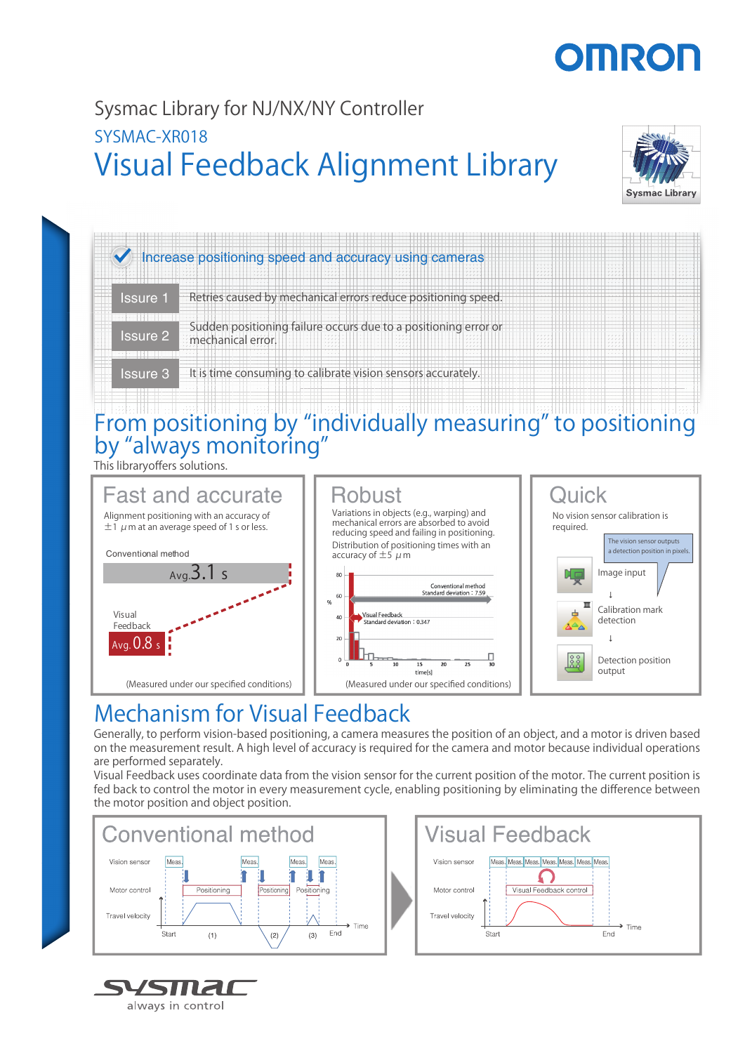# **STILLEO**

### Visual Feedback Alignment Library Sysmac Library for NJ/NX/NY Controller SYSMAC-XR018



## Increase positioning speed and accuracy using cameras Issure 1 Retries caused by mechanical errors reduce positioning speed. **ISURGEN Sudden positioning failure occurs due to a positioning error or SSURGEN ATTEN** mechanical error. Issure 3 It is time consuming to calibrate vision sensors accurately.

### From positioning by "individually measuring" to positioning by "always monitoring" g

This libraryoffers solutions.



### Mechanism for Visual Feedback

Generally, to perform vision-based positioning, a camera measures the position of an object, and a motor is driven based on the measurement result. A high level of accuracy is required for the camera and motor because individual operations are performed separately.

Visual Feedback uses coordinate data from the vision sensor for the current position of the motor. The current position is fed back to control the motor in every measurement cycle, enabling positioning by eliminating the difference between the motor position and object position.